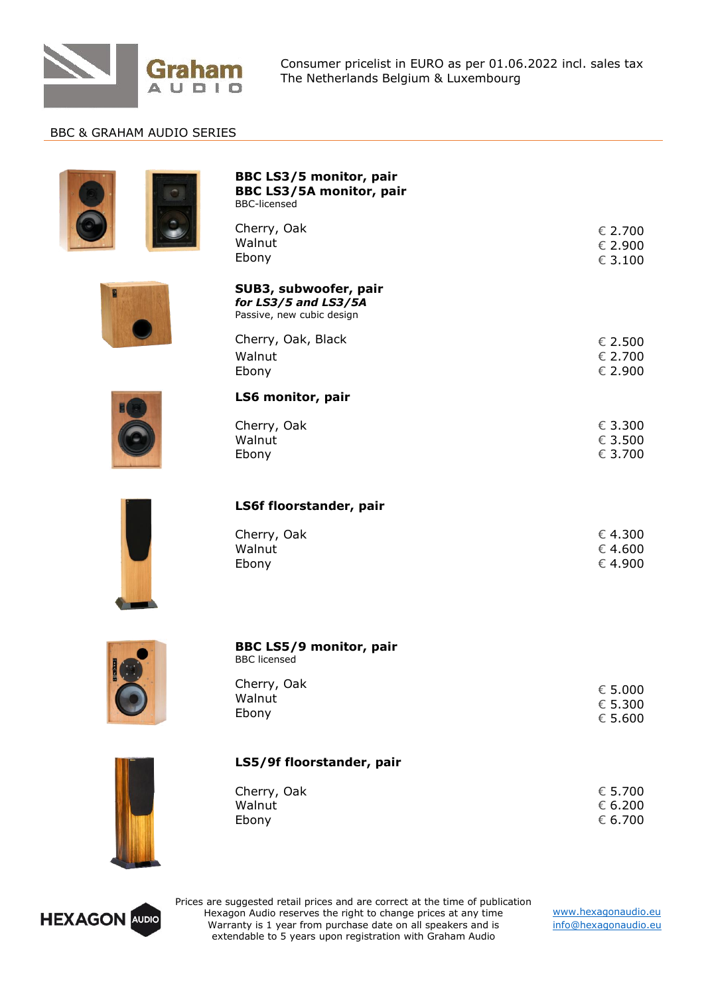

Consumer pricelist in EURO as per 01.06.2022 incl. sales tax The Netherlands Belgium & Luxembourg

## BBC & GRAHAM AUDIO SERIES

|  | <b>BBC LS3/5 monitor, pair</b><br><b>BBC LS3/5A monitor, pair</b><br><b>BBC-licensed</b> |                                        |
|--|------------------------------------------------------------------------------------------|----------------------------------------|
|  | Cherry, Oak<br>Walnut<br>Ebony                                                           | € 2.700<br>€ 2.900<br>$\epsilon$ 3.100 |
|  | SUB3, subwoofer, pair<br>for LS3/5 and LS3/5A<br>Passive, new cubic design               |                                        |
|  | Cherry, Oak, Black<br>Walnut<br>Ebony                                                    | € 2.500<br>€ 2.700<br>€ 2.900          |
|  | LS6 monitor, pair                                                                        |                                        |
|  | Cherry, Oak<br>Walnut<br>Ebony                                                           | € 3.300<br>€ 3.500<br>€ 3.700          |
|  | LS6f floorstander, pair                                                                  |                                        |
|  | Cherry, Oak<br>Walnut<br>Ebony                                                           | € 4.300<br>€ 4.600<br>€ 4.900          |
|  | <b>BBC LS5/9 monitor, pair</b><br><b>BBC</b> licensed                                    |                                        |
|  | Cherry, Oak<br>Walnut<br>Ebony                                                           | $\epsilon$ 5.000<br>€ 5.300<br>€ 5.600 |
|  | LS5/9f floorstander, pair                                                                |                                        |
|  | Cherry, Oak<br>Walnut<br>Ebony                                                           | € 5.700<br>€ 6.200<br>€ 6.700          |
|  |                                                                                          |                                        |



Prices are suggested retail prices and are correct at the time of publication Hexagon Audio reserves the right to change prices at any time Warranty is 1 year from purchase date on all speakers and is extendable to 5 years upon registration with Graham Audio

[www.hexagonaudio.eu](http://www.hexagonaudio.eu/) [info@hexagonaudio.eu](mailto:info@hexagonaudio.eu)